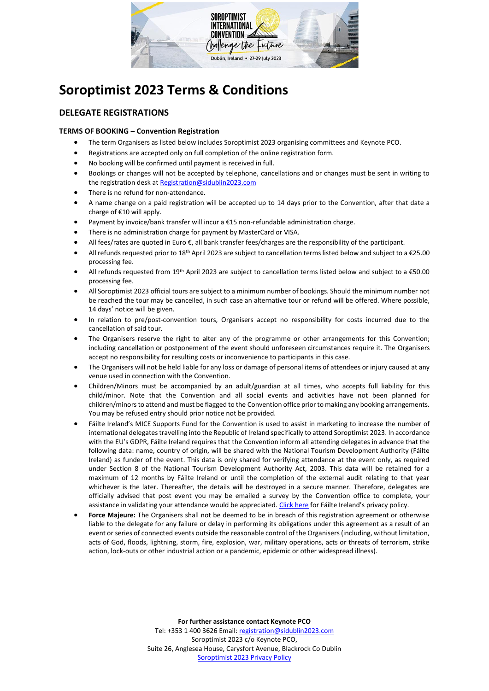

# **Soroptimist 2023 Terms & Conditions**

# **DELEGATE REGISTRATIONS**

## **TERMS OF BOOKING – Convention Registration**

- The term Organisers as listed below includes Soroptimist 2023 organising committees and Keynote PCO.
- Registrations are accepted only on full completion of the online registration form.
- No booking will be confirmed until payment is received in full.
- Bookings or changes will not be accepted by telephone, cancellations and or changes must be sent in writing to the registration desk at [Registration@sidublin2023.com](mailto:Registration@sidublin2023.com)
- There is no refund for non-attendance.
- A name change on a paid registration will be accepted up to 14 days prior to the Convention, after that date a charge of €10 will apply.
- Payment by invoice/bank transfer will incur a €15 non-refundable administration charge.
- There is no administration charge for payment by MasterCard or VISA.
- All fees/rates are quoted in Euro €, all bank transfer fees/charges are the responsibility of the participant.
- All refunds requested prior to 18<sup>th</sup> April 2023 are subject to cancellation terms listed below and subject to a  $\epsilon$ 25.00 processing fee.
- All refunds requested from 19th April 2023 are subject to cancellation terms listed below and subject to a €50.00 processing fee.
- All Soroptimist 2023 official tours are subject to a minimum number of bookings. Should the minimum number not be reached the tour may be cancelled, in such case an alternative tour or refund will be offered. Where possible, 14 days' notice will be given.
- In relation to pre/post-convention tours, Organisers accept no responsibility for costs incurred due to the cancellation of said tour.
- The Organisers reserve the right to alter any of the programme or other arrangements for this Convention; including cancellation or postponement of the event should unforeseen circumstances require it. The Organisers accept no responsibility for resulting costs or inconvenience to participants in this case.
- The Organisers will not be held liable for any loss or damage of personal items of attendees or injury caused at any venue used in connection with the Convention.
- Children/Minors must be accompanied by an adult/guardian at all times, who accepts full liability for this child/minor. Note that the Convention and all social events and activities have not been planned for children/minors to attend and must be flagged to the Convention office prior to making any booking arrangements. You may be refused entry should prior notice not be provided.
- Fáilte Ireland's MICE Supports Fund for the Convention is used to assist in marketing to increase the number of international delegates travelling into the Republic of Ireland specifically to attend Soroptimist 2023. In accordance with the EU's GDPR, Fáilte Ireland requires that the Convention inform all attending delegates in advance that the following data: name, country of origin, will be shared with the National Tourism Development Authority (Fáilte Ireland) as funder of the event. This data is only shared for verifying attendance at the event only, as required under Section 8 of the National Tourism Development Authority Act, 2003. This data will be retained for a maximum of 12 months by Fáilte Ireland or until the completion of the external audit relating to that year whichever is the later. Thereafter, the details will be destroyed in a secure manner. Therefore, delegates are officially advised that post event you may be emailed a survey by the Convention office to complete, your assistance in validating your attendance would be appreciated. [Click here](https://www.failteireland.ie/Footer/Data-Protection.aspx) for Fáilte Ireland's privacy policy.
- **Force Majeure:** The Organisers shall not be deemed to be in breach of this registration agreement or otherwise liable to the delegate for any failure or delay in performing its obligations under this agreement as a result of an event or series of connected events outside the reasonable control of the Organisers (including, without limitation, acts of God, floods, lightning, storm, fire, explosion, war, military operations, acts or threats of terrorism, strike action, lock-outs or other industrial action or a pandemic, epidemic or other widespread illness).

**For further assistance contact Keynote PCO** Tel: +353 1 400 3626 Email: [registration@sidublin2023.com](mailto:registration@sidublin2023.com) Soroptimist 2023 c/o Keynote PCO, Suite 26, Anglesea House, Carysfort Avenue, Blackrock Co Dublin [Soroptimist 2023](https://sidublin2023.com/privacy-and-cookies/) Privacy Policy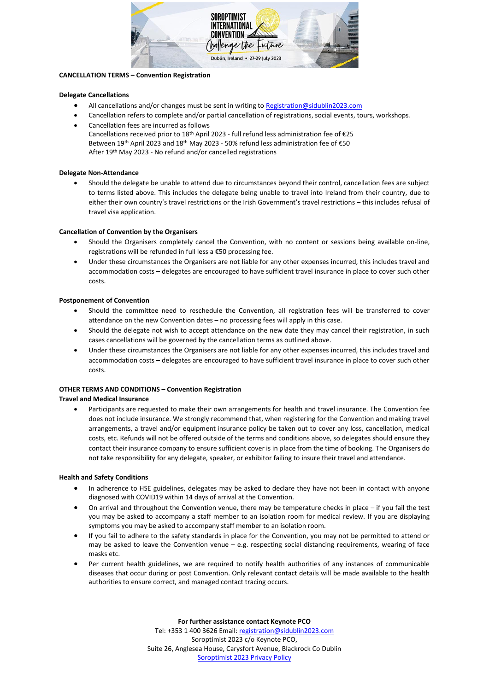

#### **CANCELLATION TERMS – Convention Registration**

#### **Delegate Cancellations**

- All cancellations and/or changes must be sent in writing to [Registration@sidublin2023.com](mailto:Registration@sidublin2023.com)
- Cancellation refers to complete and/or partial cancellation of registrations, social events, tours, workshops.
- Cancellation fees are incurred as follows
	- Cancellations received prior to 18th April 2023 full refund less administration fee of €25 Between 19th April 2023 and 18th May 2023 - 50% refund less administration fee of €50 After 19th May 2023 - No refund and/or cancelled registrations

## **Delegate Non-Attendance**

• Should the delegate be unable to attend due to circumstances beyond their control, cancellation fees are subject to terms listed above. This includes the delegate being unable to travel into Ireland from their country, due to either their own country's travel restrictions or the Irish Government's travel restrictions – this includes refusal of travel visa application.

## **Cancellation of Convention by the Organisers**

- Should the Organisers completely cancel the Convention, with no content or sessions being available on-line, registrations will be refunded in full less a €50 processing fee.
- Under these circumstances the Organisers are not liable for any other expenses incurred, this includes travel and accommodation costs – delegates are encouraged to have sufficient travel insurance in place to cover such other costs.

## **Postponement of Convention**

- Should the committee need to reschedule the Convention, all registration fees will be transferred to cover attendance on the new Convention dates – no processing fees will apply in this case.
- Should the delegate not wish to accept attendance on the new date they may cancel their registration, in such cases cancellations will be governed by the cancellation terms as outlined above.
- Under these circumstances the Organisers are not liable for any other expenses incurred, this includes travel and accommodation costs – delegates are encouraged to have sufficient travel insurance in place to cover such other costs.

## **OTHER TERMS AND CONDITIONS – Convention Registration**

#### **Travel and Medical Insurance**

• Participants are requested to make their own arrangements for health and travel insurance. The Convention fee does not include insurance. We strongly recommend that, when registering for the Convention and making travel arrangements, a travel and/or equipment insurance policy be taken out to cover any loss, cancellation, medical costs, etc. Refunds will not be offered outside of the terms and conditions above, so delegates should ensure they contact their insurance company to ensure sufficient cover is in place from the time of booking. The Organisers do not take responsibility for any delegate, speaker, or exhibitor failing to insure their travel and attendance.

#### **Health and Safety Conditions**

- In adherence to HSE guidelines, delegates may be asked to declare they have not been in contact with anyone diagnosed with COVID19 within 14 days of arrival at the Convention.
- On arrival and throughout the Convention venue, there may be temperature checks in place if you fail the test you may be asked to accompany a staff member to an isolation room for medical review. If you are displaying symptoms you may be asked to accompany staff member to an isolation room.
- If you fail to adhere to the safety standards in place for the Convention, you may not be permitted to attend or may be asked to leave the Convention venue  $-$  e.g. respecting social distancing requirements, wearing of face masks etc.
- Per current health guidelines, we are required to notify health authorities of any instances of communicable diseases that occur during or post Convention. Only relevant contact details will be made available to the health authorities to ensure correct, and managed contact tracing occurs.

**For further assistance contact Keynote PCO**

Tel: +353 1 400 3626 Email: [registration@sidublin2023.com](mailto:registration@sidublin2023.com) Soroptimist 2023 c/o Keynote PCO, Suite 26, Anglesea House, Carysfort Avenue, Blackrock Co Dublin [Soroptimist 2023](https://sidublin2023.com/privacy-and-cookies/) Privacy Policy